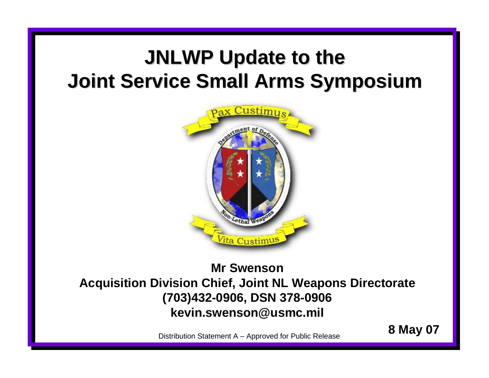### **JNLWP Update to the Joint Service Small Arms Symposium Joint Service Small Arms Symposium**



### **Mr SwensonAcquisition Division Chief, Joint NL Weapons Directorate (703)432-0906, DSN 378-0906 kevin.swenson@usmc.mil**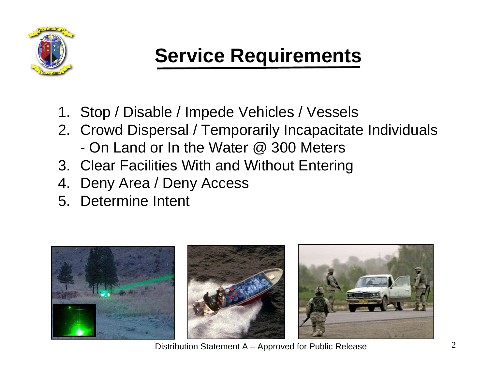

### **Service Requirements**

- 1. Stop / Disable / Impede Vehicles / Vessels
- 2. Crowd Dispersal / Temporarily Incapacitate Individuals - On Land or In the Water @ 300 Meters
- 3. Clear Facilities With and Without Entering
- 4. Deny Area / Deny Access
- 5. Determine Intent

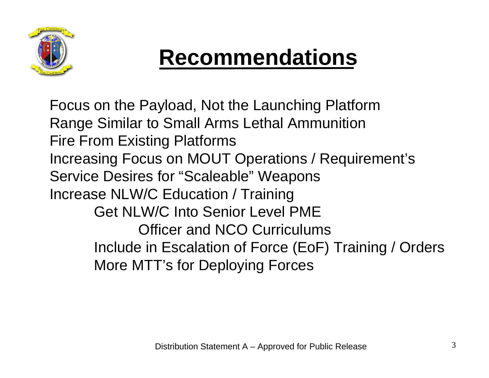

# **Recommendations**

Focus on the Payload, Not the Launching Platform Range Similar to Small Arms Lethal Ammunition Fire From Existing Platforms Increasing Focus on MOUT Operations / Requirement's Service Desires for "Scaleable" Weapons Increase NLW/C Education / Training Get NLW/C Into Senior Level PMEOfficer and NCO CurriculumsInclude in Escalation of Force (EoF) Training / Orders More MTT's for Deploying Forces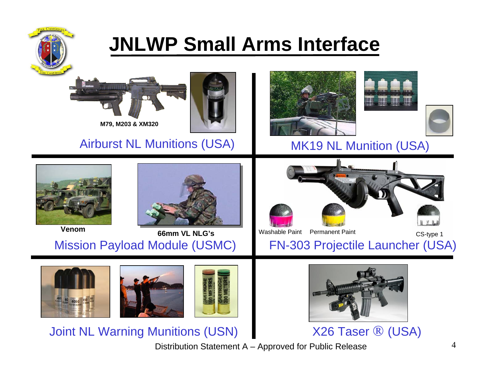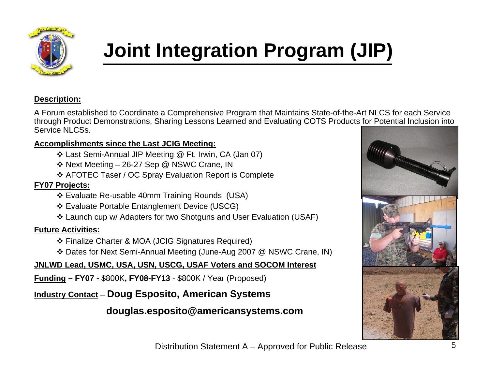

## **Joint Integration Program (JIP)**

#### **Description:**

A Forum established to Coordinate a Comprehensive Program that Maintains State-of-the-Art NLCS for each Service through Product Demonstrations, Sharing Lessons Learned and Evaluating COTS Products for Potential Inclusion into Service NLCSs.

#### **Accomplishments since the Last JCIG Meeting:**

- Last Semi-Annual JIP Meeting @ Ft. Irwin, CA (Jan 07)
- Next Meeting 26-27 Sep @ NSWC Crane, IN
- AFOTEC Taser / OC Spray Evaluation Report is Complete

#### **FY07 Projects:**

- Evaluate Re-usable 40mm Training Rounds (USA)
- Evaluate Portable Entanglement Device (USCG)
- Launch cup w/ Adapters for two Shotguns and User Evaluation (USAF)

#### **Future Activities:**

- Finalize Charter & MOA (JCIG Signatures Required)
- Dates for Next Semi-Annual Meeting (June-Aug 2007 @ NSWC Crane, IN)

#### **JNLWD Lead, USMC, USA, USN, USCG, USAF Voters and SOCOM Interest**

**Funding – FY07 -** \$800K**, FY08-FY13** - \$800K / Year (Proposed)

#### **Industry Contact** – **Doug Esposito, American Systems**

#### **douglas.esposito@americansystems.com**

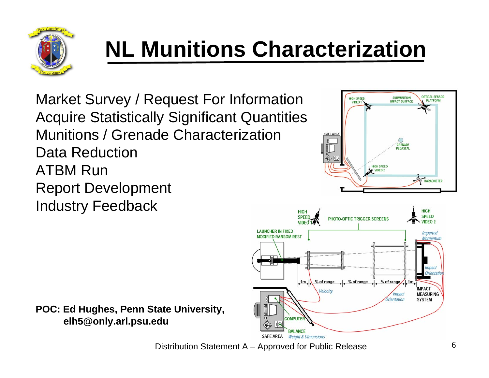

# **NL Munitions Characterization**

Market Survey / Request For Information Acquire Statistically Significant Quantities Munitions / Grenade CharacterizationData Reduction ATBM RunReport Development Industry Feedback





**POC: Ed Hughes, Penn State University, elh5@only.arl.psu.edu**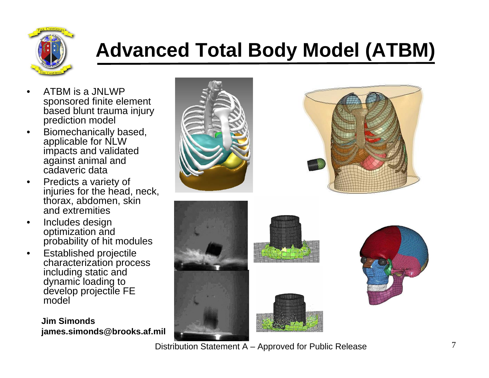

### **Advanced Total Body Model (ATBM)**

- • ATBM is a JNLWP sponsored finite element based blunt trauma injury prediction model
- • Biomechanically based, applicable for NLW impacts and validated against animal and cadaveric data
- • Predicts a variety of injuries for the head, neck, thorax, abdomen, skin and extremities
- • Includes design optimization and probability of hit modules
- • Established projectile characterization process including static and dynamic loading to develop projectile FE model

**Jim Simondsjames.simonds@brooks.af.mil**